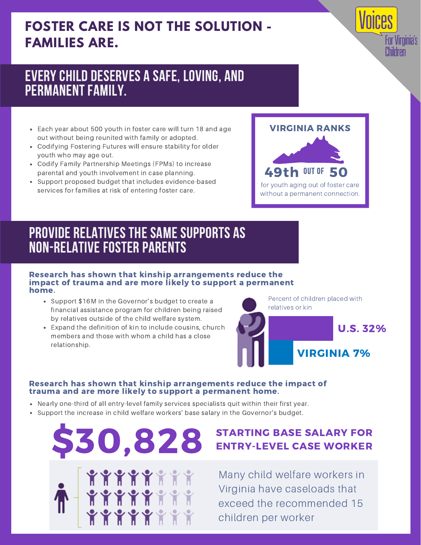## **FOSTER CARE IS NOT THE SOLUTION - FAMILIES ARE.**

### EVERYCHILD DESERVES A SAFE, LOVING, AND PERMANENT FAMILY.

- Each year about 500 youth in foster care will turn 18 and age out without being reunited with family or adopted.
- Codifying Fostering Futures will ensure stability for older youth who may age out.
- Codify Family Partnership Meetings (FPMs) to increase parental and youth involvement in case planning.
- Support proposed budget that includes evidence-based services for families at risk of entering foster care.

# for youth aging out of foster care without a permanent connection. 49th OUT OF 50 VIRGINIA RANKS

or Virginia's Children

## PROVIDE RELATIVES THE SAME SUPPORTS AS NON-RELATIVE FOSTER PARENTS

#### Research has shown that kinship arrangements reduce the impact of trauma and are more likely to support a permanent home.

- Support \$16M in the Governor's budget to create a financial assistance program for children being raised by relatives outside of the child welfare system.
- Expand the definition of kin to include cousins, church members and those with whom a child has a close relationship.

Percent of children placed with relatives or kin



#### Research has shown that kinship arrangements reduce the impact of trauma and are more likely to support a permanent home.

- Nearly one-third of all entry-level family services specialists quit within their first year.
- Support the increase in child welfare workers' base salary in the Governor's budget.



### STARTING BASE SALARY FOR ENTRY-LEVEL CASE WORKER

Many child welfare workers in Virginia have caseloads that exceed the recommended 15 children per worker